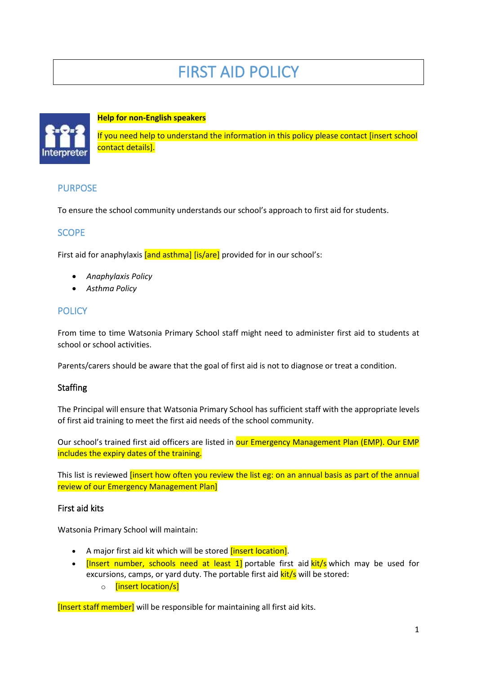# FIRST AID POLICY



#### **Help for non-English speakers**

If you need help to understand the information in this policy please contact [insert school contact details].

# PURPOSE

To ensure the school community understands our school's approach to first aid for students.

#### **SCOPE**

First aid for anaphylaxis [and asthma] [is/are] provided for in our school's:

- *Anaphylaxis Policy*
- *Asthma Policy*

# **POLICY**

From time to time Watsonia Primary School staff might need to administer first aid to students at school or school activities.

Parents/carers should be aware that the goal of first aid is not to diagnose or treat a condition.

#### **Staffing**

The Principal will ensure that Watsonia Primary School has sufficient staff with the appropriate levels of first aid training to meet the first aid needs of the school community.

Our school's trained first aid officers are listed in our Emergency Management Plan (EMP). Our EMP includes the expiry dates of the training.

This list is reviewed *[insert how often you review the list eg: on an annual basis as part of the annual* review of our Emergency Management Plan]

#### First aid kits

Watsonia Primary School will maintain:

- A major first aid kit which will be stored *[insert location]*.
- **[Insert number, schools need at least 1]** portable first aid **kit/s** which may be used for excursions, camps, or yard duty. The portable first aid **kit/s** will be stored:
	- o [insert location/s]

[Insert staff member] will be responsible for maintaining all first aid kits.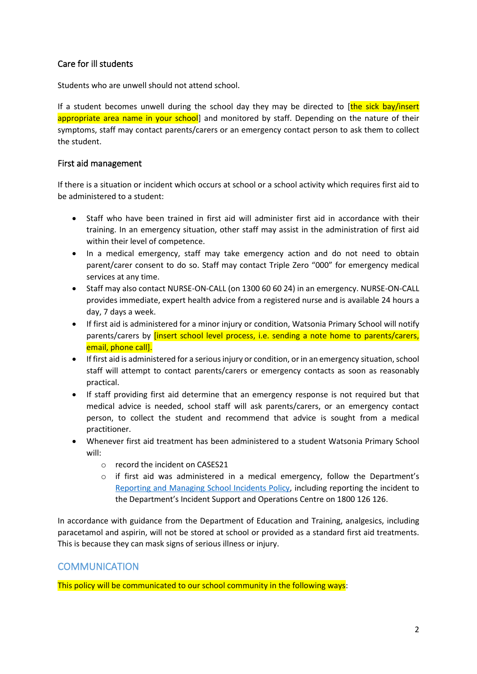# Care for ill students

Students who are unwell should not attend school.

If a student becomes unwell during the school day they may be directed to  $[the sick bay/inset]$ appropriate area name in your school] and monitored by staff. Depending on the nature of their symptoms, staff may contact parents/carers or an emergency contact person to ask them to collect the student.

# First aid management

If there is a situation or incident which occurs at school or a school activity which requires first aid to be administered to a student:

- Staff who have been trained in first aid will administer first aid in accordance with their training. In an emergency situation, other staff may assist in the administration of first aid within their level of competence.
- In a medical emergency, staff may take emergency action and do not need to obtain parent/carer consent to do so. Staff may contact Triple Zero "000" for emergency medical services at any time.
- Staff may also contact NURSE-ON-CALL (on 1300 60 60 24) in an emergency. NURSE-ON-CALL provides immediate, expert health advice from a registered nurse and is available 24 hours a day, 7 days a week.
- If first aid is administered for a minor injury or condition, Watsonia Primary School will notify parents/carers by [insert school level process, i.e. sending a note home to parents/carers, email, phone call].
- If first aid is administered for a serious injury or condition, or in an emergency situation, school staff will attempt to contact parents/carers or emergency contacts as soon as reasonably practical.
- If staff providing first aid determine that an emergency response is not required but that medical advice is needed, school staff will ask parents/carers, or an emergency contact person, to collect the student and recommend that advice is sought from a medical practitioner.
- Whenever first aid treatment has been administered to a student Watsonia Primary School will:
	- o record the incident on CASES21
	- $\circ$  if first aid was administered in a medical emergency, follow the Department's [Reporting and Managing School Incidents Policy,](https://www2.education.vic.gov.au/pal/reporting-and-managing-school-incidents-including-emergencies/policy) including reporting the incident to the Department's Incident Support and Operations Centre on 1800 126 126.

In accordance with guidance from the Department of Education and Training, analgesics, including paracetamol and aspirin, will not be stored at school or provided as a standard first aid treatments. This is because they can mask signs of serious illness or injury.

# **COMMUNICATION**

This policy will be communicated to our school community in the following ways: